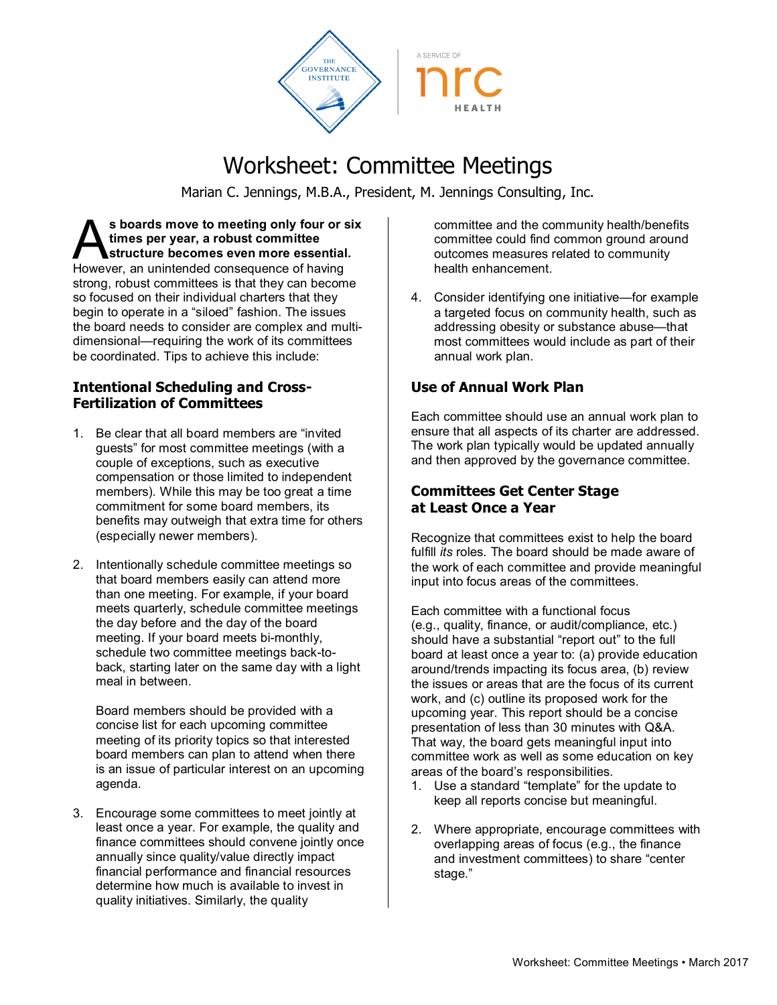

# Worksheet: Committee Meetings

Marian C. Jennings, M.B.A., President, M. Jennings Consulting, Inc.

**s boards move to meeting only four or six times per year, a robust committee structure becomes even more essential.** S boards move to meeting only four or s<br>times per year, a robust committee<br>However, an unintended consequence of having strong, robust committees is that they can become so focused on their individual charters that they begin to operate in a "siloed" fashion. The issues the board needs to consider are complex and multidimensional—requiring the work of its committees be coordinated. Tips to achieve this include:

#### **Intentional Scheduling and Cross-Fertilization of Committees**

- 1. Be clear that all board members are "invited guests" for most committee meetings (with a couple of exceptions, such as executive compensation or those limited to independent members). While this may be too great a time commitment for some board members, its benefits may outweigh that extra time for others (especially newer members).
- 2. Intentionally schedule committee meetings so that board members easily can attend more than one meeting. For example, if your board meets quarterly, schedule committee meetings the day before and the day of the board meeting. If your board meets bi-monthly, schedule two committee meetings back-toback, starting later on the same day with a light meal in between.

Board members should be provided with a concise list for each upcoming committee meeting of its priority topics so that interested board members can plan to attend when there is an issue of particular interest on an upcoming agenda.

3. Encourage some committees to meet jointly at least once a year. For example, the quality and finance committees should convene jointly once annually since quality/value directly impact financial performance and financial resources determine how much is available to invest in quality initiatives. Similarly, the quality

committee and the community health/benefits committee could find common ground around outcomes measures related to community health enhancement.

4. Consider identifying one initiative—for example a targeted focus on community health, such as addressing obesity or substance abuse—that most committees would include as part of their annual work plan.

## **Use of Annual Work Plan**

Each committee should use an annual work plan to ensure that all aspects of its charter are addressed. The work plan typically would be updated annually and then approved by the governance committee.

#### **Committees Get Center Stage at Least Once a Year**

Recognize that committees exist to help the board fulfill *its* roles. The board should be made aware of the work of each committee and provide meaningful input into focus areas of the committees.

Each committee with a functional focus (e.g., quality, finance, or audit/compliance, etc.) should have a substantial "report out" to the full board at least once a year to: (a) provide education around/trends impacting its focus area, (b) review the issues or areas that are the focus of its current work, and (c) outline its proposed work for the upcoming year. This report should be a concise presentation of less than 30 minutes with Q&A. That way, the board gets meaningful input into committee work as well as some education on key areas of the board's responsibilities.

- 1. Use a standard "template" for the update to keep all reports concise but meaningful.
- 2. Where appropriate, encourage committees with overlapping areas of focus (e.g., the finance and investment committees) to share "center stage."